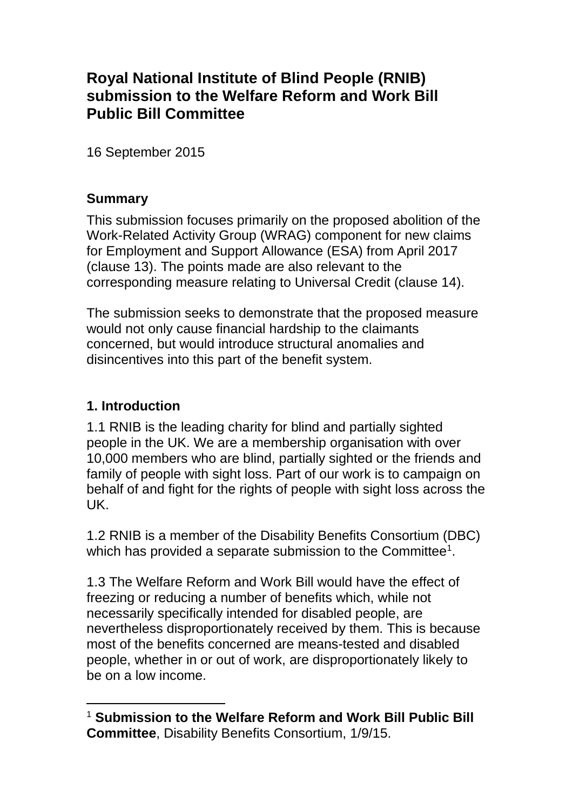# **Royal National Institute of Blind People (RNIB) submission to the Welfare Reform and Work Bill Public Bill Committee**

16 September 2015

#### **Summary**

This submission focuses primarily on the proposed abolition of the Work-Related Activity Group (WRAG) component for new claims for Employment and Support Allowance (ESA) from April 2017 (clause 13). The points made are also relevant to the corresponding measure relating to Universal Credit (clause 14).

The submission seeks to demonstrate that the proposed measure would not only cause financial hardship to the claimants concerned, but would introduce structural anomalies and disincentives into this part of the benefit system.

### **1. Introduction**

-

1.1 RNIB is the leading charity for blind and partially sighted people in the UK. We are a membership organisation with over 10,000 members who are blind, partially sighted or the friends and family of people with sight loss. Part of our work is to campaign on behalf of and fight for the rights of people with sight loss across the UK.

1.2 RNIB is a member of the Disability Benefits Consortium (DBC) which has provided a separate submission to the Committee<sup>1</sup>.

1.3 The Welfare Reform and Work Bill would have the effect of freezing or reducing a number of benefits which, while not necessarily specifically intended for disabled people, are nevertheless disproportionately received by them. This is because most of the benefits concerned are means-tested and disabled people, whether in or out of work, are disproportionately likely to be on a low income.

<sup>1</sup> **Submission to the Welfare Reform and Work Bill Public Bill Committee**, Disability Benefits Consortium, 1/9/15.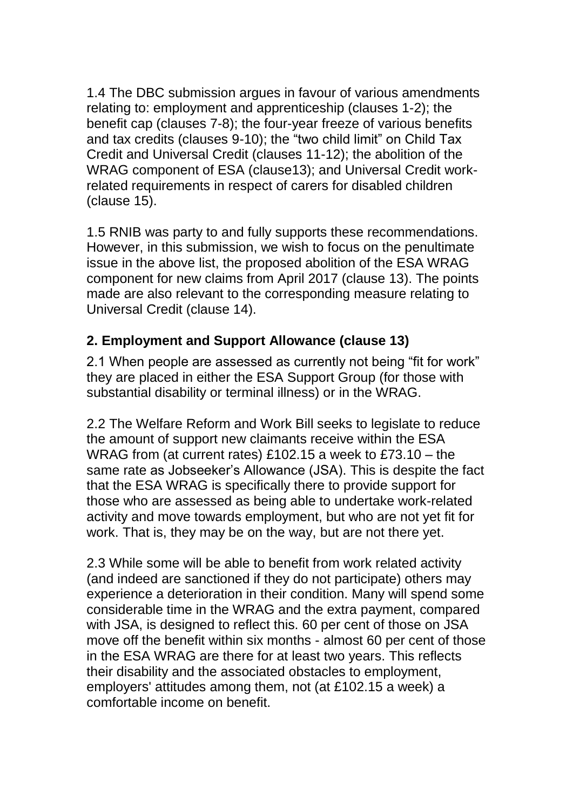1.4 The DBC submission argues in favour of various amendments relating to: employment and apprenticeship (clauses 1-2); the benefit cap (clauses 7-8); the four-year freeze of various benefits and tax credits (clauses 9-10); the "two child limit" on Child Tax Credit and Universal Credit (clauses 11-12); the abolition of the WRAG component of ESA (clause13); and Universal Credit workrelated requirements in respect of carers for disabled children (clause 15).

1.5 RNIB was party to and fully supports these recommendations. However, in this submission, we wish to focus on the penultimate issue in the above list, the proposed abolition of the ESA WRAG component for new claims from April 2017 (clause 13). The points made are also relevant to the corresponding measure relating to Universal Credit (clause 14).

## **2. Employment and Support Allowance (clause 13)**

2.1 When people are assessed as currently not being "fit for work" they are placed in either the ESA Support Group (for those with substantial disability or terminal illness) or in the WRAG.

2.2 The Welfare Reform and Work Bill seeks to legislate to reduce the amount of support new claimants receive within the ESA WRAG from (at current rates) £102.15 a week to £73.10 – the same rate as Jobseeker's Allowance (JSA). This is despite the fact that the ESA WRAG is specifically there to provide support for those who are assessed as being able to undertake work-related activity and move towards employment, but who are not yet fit for work. That is, they may be on the way, but are not there yet.

2.3 While some will be able to benefit from work related activity (and indeed are sanctioned if they do not participate) others may experience a deterioration in their condition. Many will spend some considerable time in the WRAG and the extra payment, compared with JSA, is designed to reflect this. 60 per cent of those on JSA move off the benefit within six months - almost 60 per cent of those in the ESA WRAG are there for at least two years. This reflects their disability and the associated obstacles to employment, employers' attitudes among them, not (at £102.15 a week) a comfortable income on benefit.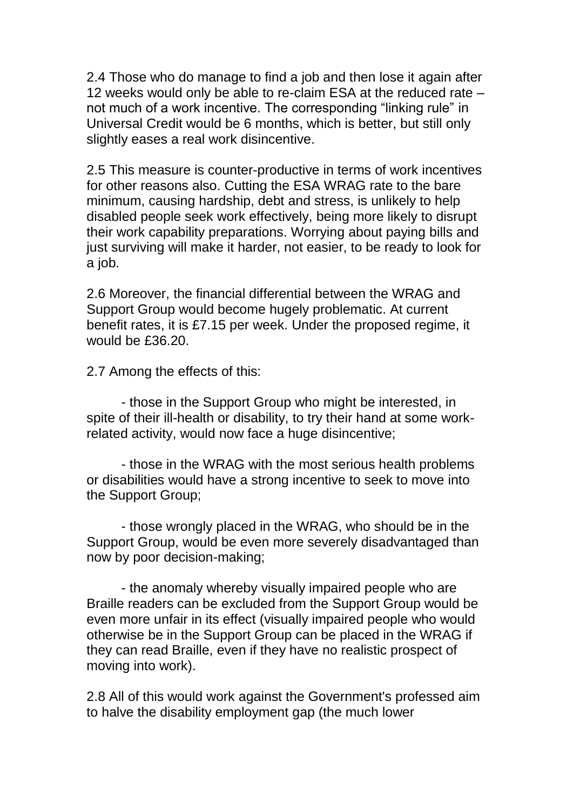2.4 Those who do manage to find a job and then lose it again after 12 weeks would only be able to re-claim ESA at the reduced rate – not much of a work incentive. The corresponding "linking rule" in Universal Credit would be 6 months, which is better, but still only slightly eases a real work disincentive.

2.5 This measure is counter-productive in terms of work incentives for other reasons also. Cutting the ESA WRAG rate to the bare minimum, causing hardship, debt and stress, is unlikely to help disabled people seek work effectively, being more likely to disrupt their work capability preparations. Worrying about paying bills and just surviving will make it harder, not easier, to be ready to look for a job.

2.6 Moreover, the financial differential between the WRAG and Support Group would become hugely problematic. At current benefit rates, it is £7.15 per week. Under the proposed regime, it would be £36.20.

2.7 Among the effects of this:

- those in the Support Group who might be interested, in spite of their ill-health or disability, to try their hand at some workrelated activity, would now face a huge disincentive;

- those in the WRAG with the most serious health problems or disabilities would have a strong incentive to seek to move into the Support Group;

- those wrongly placed in the WRAG, who should be in the Support Group, would be even more severely disadvantaged than now by poor decision-making;

- the anomaly whereby visually impaired people who are Braille readers can be excluded from the Support Group would be even more unfair in its effect (visually impaired people who would otherwise be in the Support Group can be placed in the WRAG if they can read Braille, even if they have no realistic prospect of moving into work).

2.8 All of this would work against the Government's professed aim to halve the disability employment gap (the much lower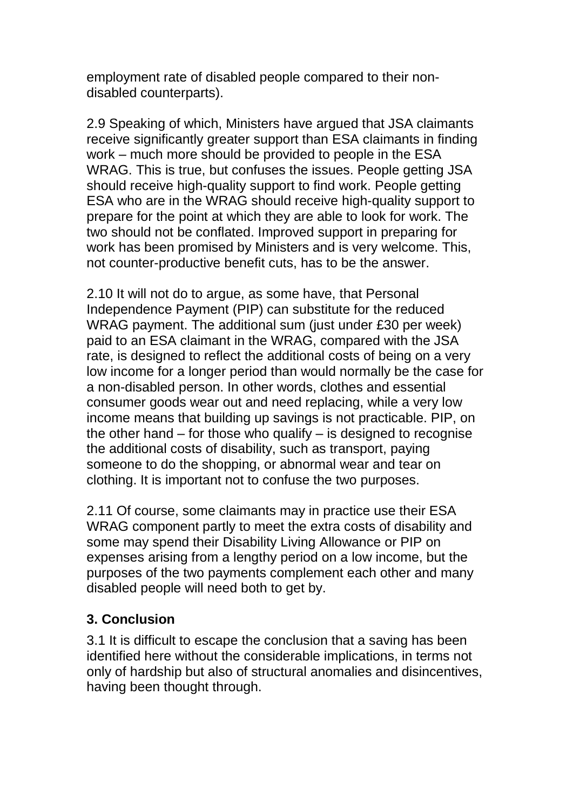employment rate of disabled people compared to their nondisabled counterparts).

2.9 Speaking of which, Ministers have argued that JSA claimants receive significantly greater support than ESA claimants in finding work – much more should be provided to people in the ESA WRAG. This is true, but confuses the issues. People getting JSA should receive high-quality support to find work. People getting ESA who are in the WRAG should receive high-quality support to prepare for the point at which they are able to look for work. The two should not be conflated. Improved support in preparing for work has been promised by Ministers and is very welcome. This, not counter-productive benefit cuts, has to be the answer.

2.10 It will not do to argue, as some have, that Personal Independence Payment (PIP) can substitute for the reduced WRAG payment. The additional sum (just under £30 per week) paid to an ESA claimant in the WRAG, compared with the JSA rate, is designed to reflect the additional costs of being on a very low income for a longer period than would normally be the case for a non-disabled person. In other words, clothes and essential consumer goods wear out and need replacing, while a very low income means that building up savings is not practicable. PIP, on the other hand – for those who qualify – is designed to recognise the additional costs of disability, such as transport, paying someone to do the shopping, or abnormal wear and tear on clothing. It is important not to confuse the two purposes.

2.11 Of course, some claimants may in practice use their ESA WRAG component partly to meet the extra costs of disability and some may spend their Disability Living Allowance or PIP on expenses arising from a lengthy period on a low income, but the purposes of the two payments complement each other and many disabled people will need both to get by.

#### **3. Conclusion**

3.1 It is difficult to escape the conclusion that a saving has been identified here without the considerable implications, in terms not only of hardship but also of structural anomalies and disincentives, having been thought through.